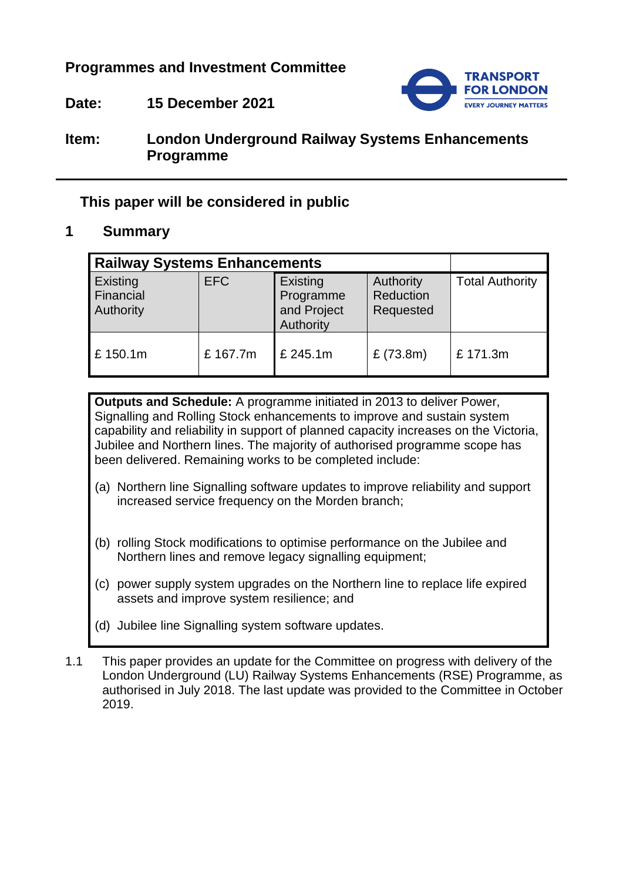**Programmes and Investment Committee**



**Date: 15 December 2021**

# **Item: London Underground Railway Systems Enhancements Programme**

# **This paper will be considered in public**

# **1 Summary**

| <b>Railway Systems Enhancements</b> |            |                                                   |                                     |                        |
|-------------------------------------|------------|---------------------------------------------------|-------------------------------------|------------------------|
| Existing<br>Financial<br>Authority  | <b>EFC</b> | Existing<br>Programme<br>and Project<br>Authority | Authority<br>Reduction<br>Requested | <b>Total Authority</b> |
| £150.1m                             | £167.7m    | £245.1m                                           | £ $(73.8m)$                         | £171.3m                |

**Outputs and Schedule:** A programme initiated in 2013 to deliver Power, Signalling and Rolling Stock enhancements to improve and sustain system capability and reliability in support of planned capacity increases on the Victoria, Jubilee and Northern lines. The majority of authorised programme scope has been delivered. Remaining works to be completed include:

- (a) Northern line Signalling software updates to improve reliability and support increased service frequency on the Morden branch;
- (b) rolling Stock modifications to optimise performance on the Jubilee and Northern lines and remove legacy signalling equipment:
- (c) power supply system upgrades on the Northern line to replace life expired assets and improve system resilience; and
- (d) Jubilee line Signalling system software updates.
- 1.1 This paper provides an update for the Committee on progress with delivery of the London Underground (LU) Railway Systems Enhancements (RSE) Programme, as authorised in July 2018. The last update was provided to the Committee in October 2019.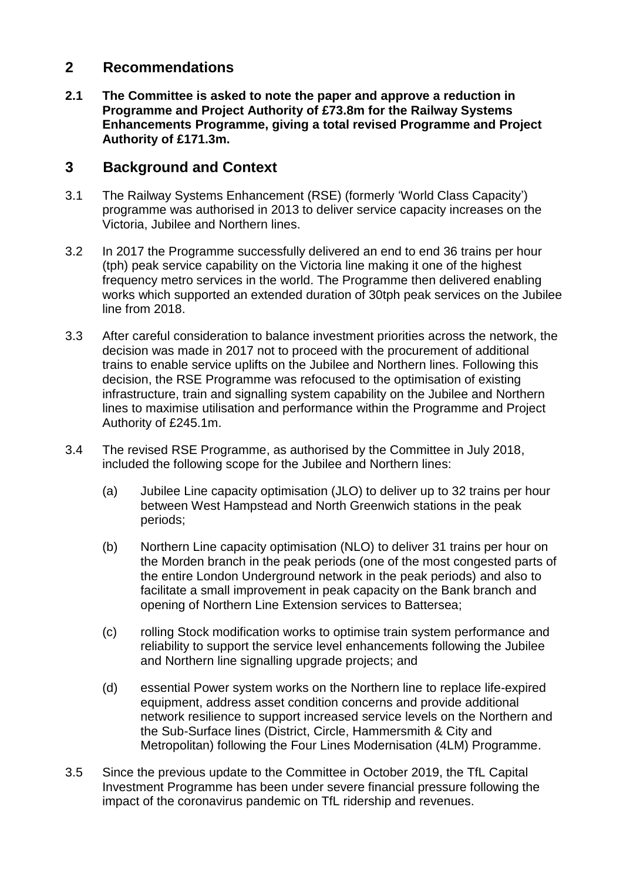## **2 Recommendations**

**2.1 The Committee is asked to note the paper and approve a reduction in Programme and Project Authority of £73.8m for the Railway Systems Enhancements Programme, giving a total revised Programme and Project Authority of £171.3m.**

### **3 Background and Context**

- 3.1 The Railway Systems Enhancement (RSE) (formerly 'World Class Capacity') programme was authorised in 2013 to deliver service capacity increases on the Victoria, Jubilee and Northern lines.
- 3.2 In 2017 the Programme successfully delivered an end to end 36 trains per hour (tph) peak service capability on the Victoria line making it one of the highest frequency metro services in the world. The Programme then delivered enabling works which supported an extended duration of 30tph peak services on the Jubilee line from 2018.
- 3.3 After careful consideration to balance investment priorities across the network, the decision was made in 2017 not to proceed with the procurement of additional trains to enable service uplifts on the Jubilee and Northern lines. Following this decision, the RSE Programme was refocused to the optimisation of existing infrastructure, train and signalling system capability on the Jubilee and Northern lines to maximise utilisation and performance within the Programme and Project Authority of £245.1m.
- 3.4 The revised RSE Programme, as authorised by the Committee in July 2018, included the following scope for the Jubilee and Northern lines:
	- (a) Jubilee Line capacity optimisation (JLO) to deliver up to 32 trains per hour between West Hampstead and North Greenwich stations in the peak periods;
	- (b) Northern Line capacity optimisation (NLO) to deliver 31 trains per hour on the Morden branch in the peak periods (one of the most congested parts of the entire London Underground network in the peak periods) and also to facilitate a small improvement in peak capacity on the Bank branch and opening of Northern Line Extension services to Battersea;
	- (c) rolling Stock modification works to optimise train system performance and reliability to support the service level enhancements following the Jubilee and Northern line signalling upgrade projects; and
	- (d) essential Power system works on the Northern line to replace life-expired equipment, address asset condition concerns and provide additional network resilience to support increased service levels on the Northern and the Sub-Surface lines (District, Circle, Hammersmith & City and Metropolitan) following the Four Lines Modernisation (4LM) Programme.
- 3.5 Since the previous update to the Committee in October 2019, the TfL Capital Investment Programme has been under severe financial pressure following the impact of the coronavirus pandemic on TfL ridership and revenues.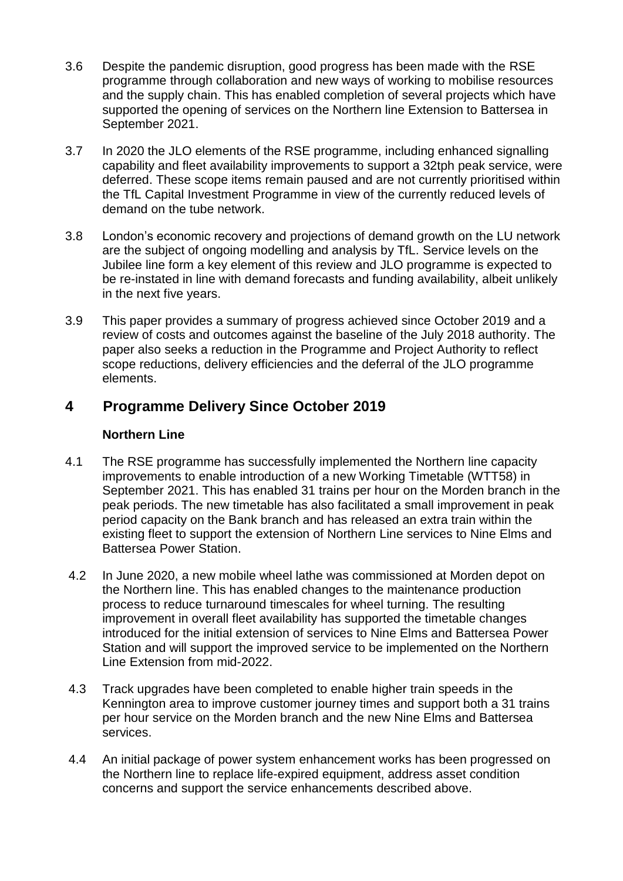- 3.6 Despite the pandemic disruption, good progress has been made with the RSE programme through collaboration and new ways of working to mobilise resources and the supply chain. This has enabled completion of several projects which have supported the opening of services on the Northern line Extension to Battersea in September 2021.
- 3.7 In 2020 the JLO elements of the RSE programme, including enhanced signalling capability and fleet availability improvements to support a 32tph peak service, were deferred. These scope items remain paused and are not currently prioritised within the TfL Capital Investment Programme in view of the currently reduced levels of demand on the tube network.
- 3.8 London's economic recovery and projections of demand growth on the LU network are the subject of ongoing modelling and analysis by TfL. Service levels on the Jubilee line form a key element of this review and JLO programme is expected to be re-instated in line with demand forecasts and funding availability, albeit unlikely in the next five years.
- 3.9 This paper provides a summary of progress achieved since October 2019 and a review of costs and outcomes against the baseline of the July 2018 authority. The paper also seeks a reduction in the Programme and Project Authority to reflect scope reductions, delivery efficiencies and the deferral of the JLO programme elements.

# **4 Programme Delivery Since October 2019**

### **Northern Line**

- 4.1 The RSE programme has successfully implemented the Northern line capacity improvements to enable introduction of a new Working Timetable (WTT58) in September 2021. This has enabled 31 trains per hour on the Morden branch in the peak periods. The new timetable has also facilitated a small improvement in peak period capacity on the Bank branch and has released an extra train within the existing fleet to support the extension of Northern Line services to Nine Elms and Battersea Power Station.
- 4.2 In June 2020, a new mobile wheel lathe was commissioned at Morden depot on the Northern line. This has enabled changes to the maintenance production process to reduce turnaround timescales for wheel turning. The resulting improvement in overall fleet availability has supported the timetable changes introduced for the initial extension of services to Nine Elms and Battersea Power Station and will support the improved service to be implemented on the Northern Line Extension from mid-2022.
- 4.3 Track upgrades have been completed to enable higher train speeds in the Kennington area to improve customer journey times and support both a 31 trains per hour service on the Morden branch and the new Nine Elms and Battersea services.
- 4.4 An initial package of power system enhancement works has been progressed on the Northern line to replace life-expired equipment, address asset condition concerns and support the service enhancements described above.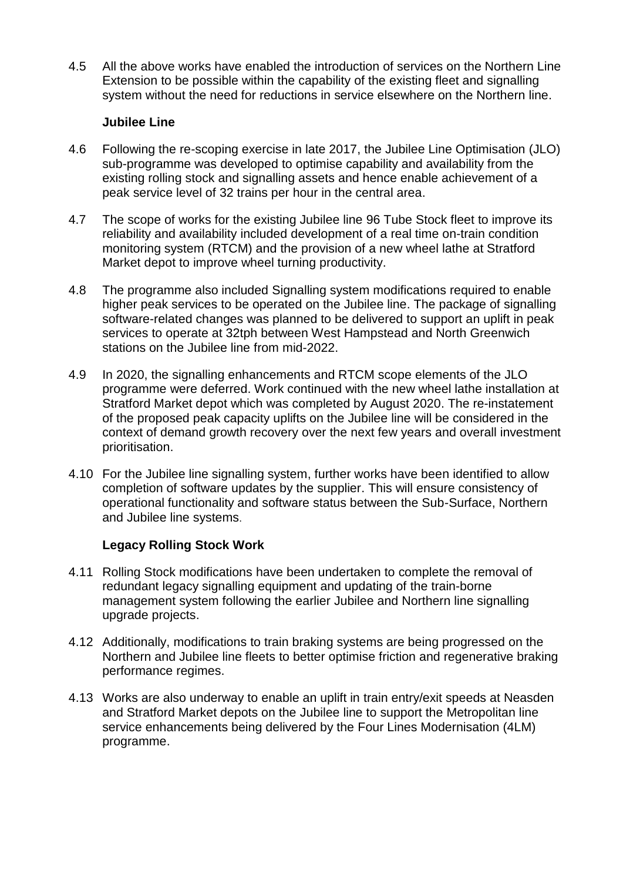4.5 All the above works have enabled the introduction of services on the Northern Line Extension to be possible within the capability of the existing fleet and signalling system without the need for reductions in service elsewhere on the Northern line.

#### **Jubilee Line**

- 4.6 Following the re-scoping exercise in late 2017, the Jubilee Line Optimisation (JLO) sub-programme was developed to optimise capability and availability from the existing rolling stock and signalling assets and hence enable achievement of a peak service level of 32 trains per hour in the central area.
- 4.7 The scope of works for the existing Jubilee line 96 Tube Stock fleet to improve its reliability and availability included development of a real time on-train condition monitoring system (RTCM) and the provision of a new wheel lathe at Stratford Market depot to improve wheel turning productivity.
- 4.8 The programme also included Signalling system modifications required to enable higher peak services to be operated on the Jubilee line. The package of signalling software-related changes was planned to be delivered to support an uplift in peak services to operate at 32tph between West Hampstead and North Greenwich stations on the Jubilee line from mid-2022.
- 4.9 In 2020, the signalling enhancements and RTCM scope elements of the JLO programme were deferred. Work continued with the new wheel lathe installation at Stratford Market depot which was completed by August 2020. The re-instatement of the proposed peak capacity uplifts on the Jubilee line will be considered in the context of demand growth recovery over the next few years and overall investment prioritisation.
- 4.10 For the Jubilee line signalling system, further works have been identified to allow completion of software updates by the supplier. This will ensure consistency of operational functionality and software status between the Sub-Surface, Northern and Jubilee line systems.

### **Legacy Rolling Stock Work**

- 4.11 Rolling Stock modifications have been undertaken to complete the removal of redundant legacy signalling equipment and updating of the train-borne management system following the earlier Jubilee and Northern line signalling upgrade projects.
- 4.12 Additionally, modifications to train braking systems are being progressed on the Northern and Jubilee line fleets to better optimise friction and regenerative braking performance regimes.
- 4.13 Works are also underway to enable an uplift in train entry/exit speeds at Neasden and Stratford Market depots on the Jubilee line to support the Metropolitan line service enhancements being delivered by the Four Lines Modernisation (4LM) programme.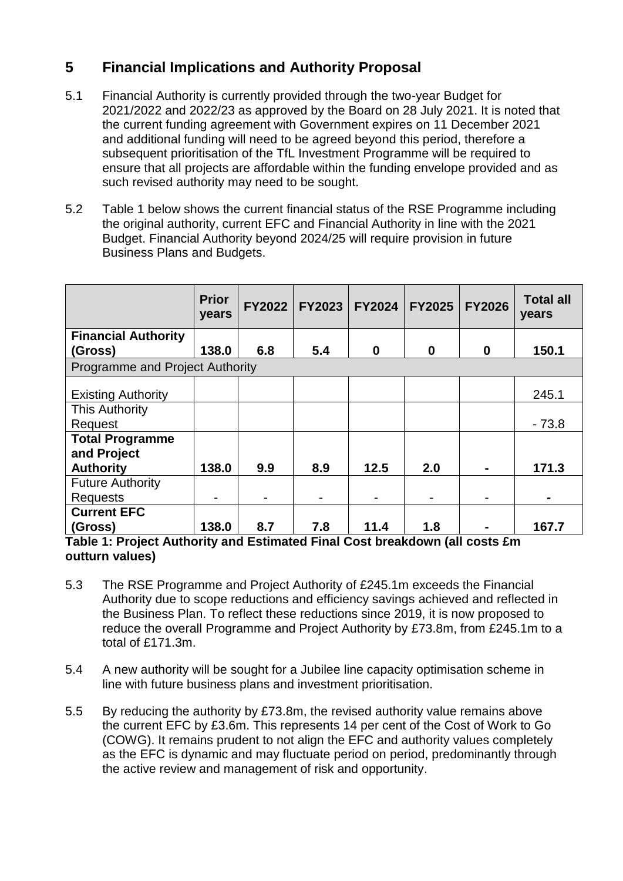# **5 Financial Implications and Authority Proposal**

- 5.1 Financial Authority is currently provided through the two-year Budget for 2021/2022 and 2022/23 as approved by the Board on 28 July 2021. It is noted that the current funding agreement with Government expires on 11 December 2021 and additional funding will need to be agreed beyond this period, therefore a subsequent prioritisation of the TfL Investment Programme will be required to ensure that all projects are affordable within the funding envelope provided and as such revised authority may need to be sought.
- 5.2 Table 1 below shows the current financial status of the RSE Programme including the original authority, current EFC and Financial Authority in line with the 2021 Budget. Financial Authority beyond 2024/25 will require provision in future Business Plans and Budgets.

|                                        | <b>Prior</b><br>years | <b>FY2022</b> | <b>FY2023</b> | <b>FY2024</b> | <b>FY2025</b> | <b>FY2026</b> | <b>Total all</b><br>years |
|----------------------------------------|-----------------------|---------------|---------------|---------------|---------------|---------------|---------------------------|
| <b>Financial Authority</b>             | 138.0                 | 6.8           | 5.4           |               | $\bf{0}$      |               |                           |
| (Gross)                                |                       |               |               | $\bf{0}$      |               | $\bf{0}$      | 150.1                     |
| <b>Programme and Project Authority</b> |                       |               |               |               |               |               |                           |
|                                        |                       |               |               |               |               |               |                           |
| <b>Existing Authority</b>              |                       |               |               |               |               |               | 245.1                     |
| <b>This Authority</b>                  |                       |               |               |               |               |               |                           |
| Request                                |                       |               |               |               |               |               | $-73.8$                   |
| <b>Total Programme</b>                 |                       |               |               |               |               |               |                           |
| and Project                            |                       |               |               |               |               |               |                           |
| <b>Authority</b>                       | 138.0                 | 9.9           | 8.9           | 12.5          | 2.0           |               | 171.3                     |
| <b>Future Authority</b>                |                       |               |               |               |               |               |                           |
| <b>Requests</b>                        |                       |               |               |               |               |               |                           |
| <b>Current EFC</b>                     |                       |               |               |               |               |               |                           |
| (Gross)                                | 138.0                 | 8.7           | 7.8           | 11.4          | 1.8           |               | 167.7                     |

#### **Table 1: Project Authority and Estimated Final Cost breakdown (all costs £m outturn values)**

- 5.3 The RSE Programme and Project Authority of £245.1m exceeds the Financial Authority due to scope reductions and efficiency savings achieved and reflected in the Business Plan. To reflect these reductions since 2019, it is now proposed to reduce the overall Programme and Project Authority by £73.8m, from £245.1m to a total of £171.3m.
- 5.4 A new authority will be sought for a Jubilee line capacity optimisation scheme in line with future business plans and investment prioritisation.
- 5.5 By reducing the authority by £73.8m, the revised authority value remains above the current EFC by £3.6m. This represents 14 per cent of the Cost of Work to Go (COWG). It remains prudent to not align the EFC and authority values completely as the EFC is dynamic and may fluctuate period on period, predominantly through the active review and management of risk and opportunity.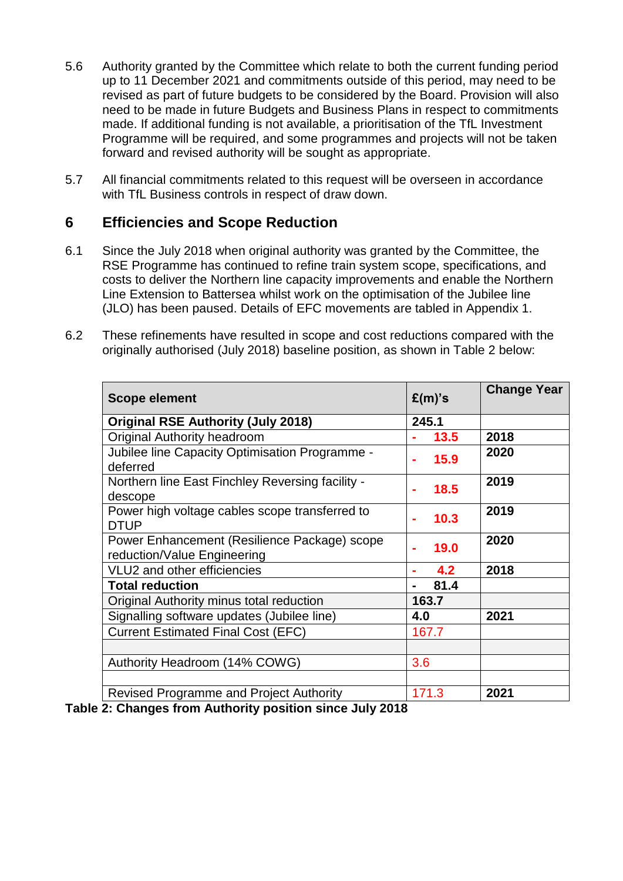- 5.6 Authority granted by the Committee which relate to both the current funding period up to 11 December 2021 and commitments outside of this period, may need to be revised as part of future budgets to be considered by the Board. Provision will also need to be made in future Budgets and Business Plans in respect to commitments made. If additional funding is not available, a prioritisation of the TfL Investment Programme will be required, and some programmes and projects will not be taken forward and revised authority will be sought as appropriate.
- 5.7 All financial commitments related to this request will be overseen in accordance with TfL Business controls in respect of draw down.

## **6 Efficiencies and Scope Reduction**

- 6.1 Since the July 2018 when original authority was granted by the Committee, the RSE Programme has continued to refine train system scope, specifications, and costs to deliver the Northern line capacity improvements and enable the Northern Line Extension to Battersea whilst work on the optimisation of the Jubilee line (JLO) has been paused. Details of EFC movements are tabled in Appendix 1.
- 6.2 These refinements have resulted in scope and cost reductions compared with the originally authorised (July 2018) baseline position, as shown in Table 2 below:

| <b>Scope element</b>                                                        | $E(m)$ 's | <b>Change Year</b> |
|-----------------------------------------------------------------------------|-----------|--------------------|
| <b>Original RSE Authority (July 2018)</b>                                   | 245.1     |                    |
| <b>Original Authority headroom</b>                                          | 13.5      | 2018               |
| Jubilee line Capacity Optimisation Programme -<br>deferred                  | 15.9      | 2020               |
| Northern line East Finchley Reversing facility -<br>descope                 | 18.5      | 2019               |
| Power high voltage cables scope transferred to<br><b>DTUP</b>               | 10.3      | 2019               |
| Power Enhancement (Resilience Package) scope<br>reduction/Value Engineering | 19.0      | 2020               |
| VLU2 and other efficiencies                                                 | 4.2       | 2018               |
| <b>Total reduction</b>                                                      | 81.4      |                    |
| Original Authority minus total reduction                                    | 163.7     |                    |
| Signalling software updates (Jubilee line)                                  | 4.0       | 2021               |
| <b>Current Estimated Final Cost (EFC)</b>                                   | 167.7     |                    |
|                                                                             |           |                    |
| Authority Headroom (14% COWG)                                               | 3.6       |                    |
|                                                                             |           |                    |
| <b>Revised Programme and Project Authority</b>                              | 171.3     | 2021               |

**Table 2: Changes from Authority position since July 2018**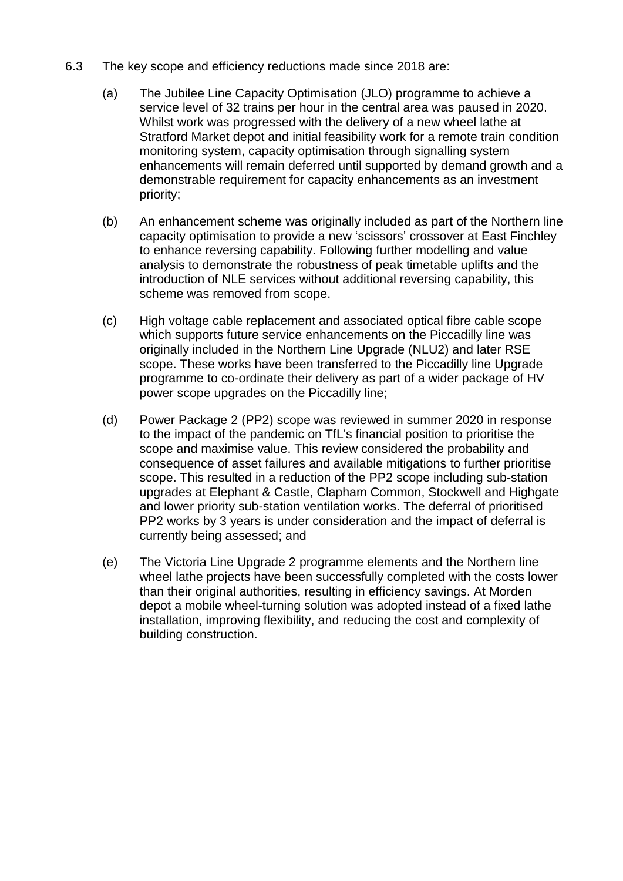- 6.3 The key scope and efficiency reductions made since 2018 are:
	- (a) The Jubilee Line Capacity Optimisation (JLO) programme to achieve a service level of 32 trains per hour in the central area was paused in 2020. Whilst work was progressed with the delivery of a new wheel lathe at Stratford Market depot and initial feasibility work for a remote train condition monitoring system, capacity optimisation through signalling system enhancements will remain deferred until supported by demand growth and a demonstrable requirement for capacity enhancements as an investment priority;
	- (b) An enhancement scheme was originally included as part of the Northern line capacity optimisation to provide a new 'scissors' crossover at East Finchley to enhance reversing capability. Following further modelling and value analysis to demonstrate the robustness of peak timetable uplifts and the introduction of NLE services without additional reversing capability, this scheme was removed from scope.
	- (c) High voltage cable replacement and associated optical fibre cable scope which supports future service enhancements on the Piccadilly line was originally included in the Northern Line Upgrade (NLU2) and later RSE scope. These works have been transferred to the Piccadilly line Upgrade programme to co-ordinate their delivery as part of a wider package of HV power scope upgrades on the Piccadilly line;
	- (d) Power Package 2 (PP2) scope was reviewed in summer 2020 in response to the impact of the pandemic on TfL's financial position to prioritise the scope and maximise value. This review considered the probability and consequence of asset failures and available mitigations to further prioritise scope. This resulted in a reduction of the PP2 scope including sub-station upgrades at Elephant & Castle, Clapham Common, Stockwell and Highgate and lower priority sub-station ventilation works. The deferral of prioritised PP2 works by 3 years is under consideration and the impact of deferral is currently being assessed; and
	- (e) The Victoria Line Upgrade 2 programme elements and the Northern line wheel lathe projects have been successfully completed with the costs lower than their original authorities, resulting in efficiency savings. At Morden depot a mobile wheel-turning solution was adopted instead of a fixed lathe installation, improving flexibility, and reducing the cost and complexity of building construction.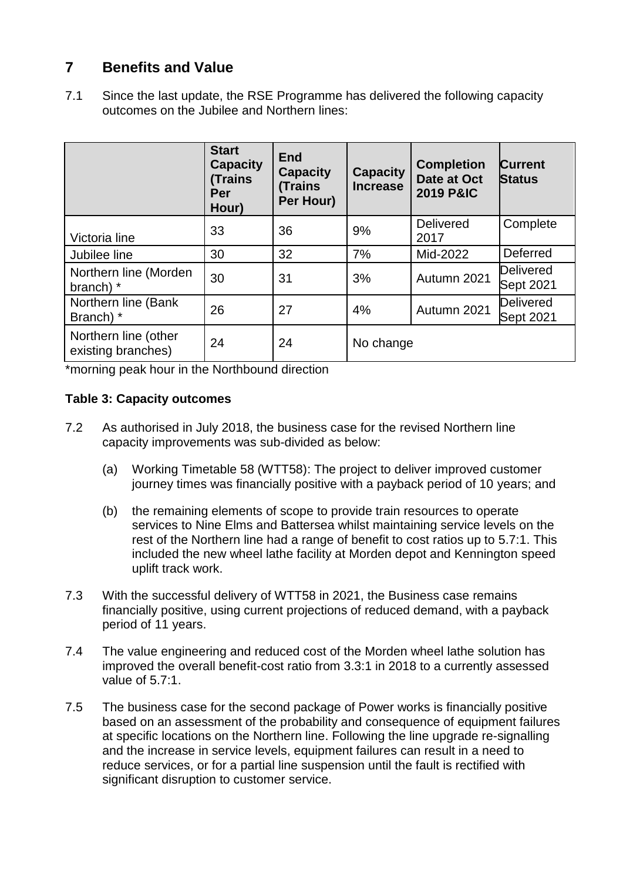# **7 Benefits and Value**

7.1 Since the last update, the RSE Programme has delivered the following capacity outcomes on the Jubilee and Northern lines:

|                                            | <b>Start</b><br><b>Capacity</b><br><b>Trains</b><br>Per<br>Hour) | <b>End</b><br><b>Capacity</b><br><b>(Trains)</b><br>Per Hour) | <b>Capacity</b><br><b>Increase</b> | <b>Completion</b><br>Date at Oct<br><b>2019 P&amp;IC</b> | <b>Current</b><br><b>Status</b>      |
|--------------------------------------------|------------------------------------------------------------------|---------------------------------------------------------------|------------------------------------|----------------------------------------------------------|--------------------------------------|
| Victoria line                              | 33                                                               | 36                                                            | 9%                                 | Delivered<br>2017                                        | Complete                             |
| Jubilee line                               | 30                                                               | 32                                                            | 7%                                 | Mid-2022                                                 | Deferred                             |
| Northern line (Morden<br>branch) *         | 30                                                               | 31                                                            | 3%                                 | Autumn 2021                                              | <b>Delivered</b><br>Sept 2021        |
| Northern line (Bank<br>Branch) *           | 26                                                               | 27                                                            | 4%                                 | Autumn 2021                                              | <b>Delivered</b><br><b>Sept 2021</b> |
| Northern line (other<br>existing branches) | 24                                                               | 24                                                            | No change                          |                                                          |                                      |

\*morning peak hour in the Northbound direction

### **Table 3: Capacity outcomes**

- 7.2 As authorised in July 2018, the business case for the revised Northern line capacity improvements was sub-divided as below:
	- (a) Working Timetable 58 (WTT58): The project to deliver improved customer journey times was financially positive with a payback period of 10 years; and
	- (b) the remaining elements of scope to provide train resources to operate services to Nine Elms and Battersea whilst maintaining service levels on the rest of the Northern line had a range of benefit to cost ratios up to 5.7:1. This included the new wheel lathe facility at Morden depot and Kennington speed uplift track work.
- 7.3 With the successful delivery of WTT58 in 2021, the Business case remains financially positive, using current projections of reduced demand, with a payback period of 11 years.
- 7.4 The value engineering and reduced cost of the Morden wheel lathe solution has improved the overall benefit-cost ratio from 3.3:1 in 2018 to a currently assessed value of 5.7:1.
- 7.5 The business case for the second package of Power works is financially positive based on an assessment of the probability and consequence of equipment failures at specific locations on the Northern line. Following the line upgrade re-signalling and the increase in service levels, equipment failures can result in a need to reduce services, or for a partial line suspension until the fault is rectified with significant disruption to customer service.